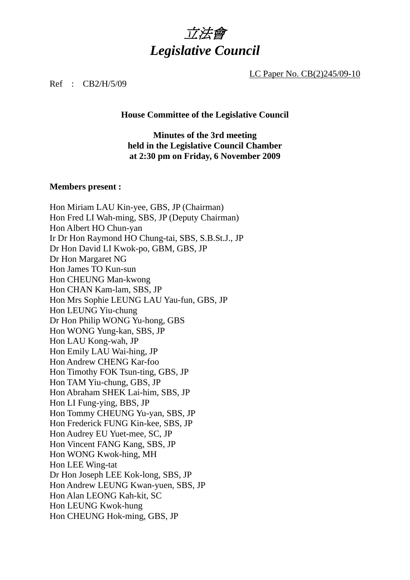

LC Paper No. CB(2)245/09-10

#### Ref : CB2/H/5/09

#### **House Committee of the Legislative Council**

### **Minutes of the 3rd meeting held in the Legislative Council Chamber at 2:30 pm on Friday, 6 November 2009**

#### **Members present :**

Hon Miriam LAU Kin-yee, GBS, JP (Chairman) Hon Fred LI Wah-ming, SBS, JP (Deputy Chairman) Hon Albert HO Chun-yan Ir Dr Hon Raymond HO Chung-tai, SBS, S.B.St.J., JP Dr Hon David LI Kwok-po, GBM, GBS, JP Dr Hon Margaret NG Hon James TO Kun-sun Hon CHEUNG Man-kwong Hon CHAN Kam-lam, SBS, JP Hon Mrs Sophie LEUNG LAU Yau-fun, GBS, JP Hon LEUNG Yiu-chung Dr Hon Philip WONG Yu-hong, GBS Hon WONG Yung-kan, SBS, JP Hon LAU Kong-wah, JP Hon Emily LAU Wai-hing, JP Hon Andrew CHENG Kar-foo Hon Timothy FOK Tsun-ting, GBS, JP Hon TAM Yiu-chung, GBS, JP Hon Abraham SHEK Lai-him, SBS, JP Hon LI Fung-ying, BBS, JP Hon Tommy CHEUNG Yu-yan, SBS, JP Hon Frederick FUNG Kin-kee, SBS, JP Hon Audrey EU Yuet-mee, SC, JP Hon Vincent FANG Kang, SBS, JP Hon WONG Kwok-hing, MH Hon LEE Wing-tat Dr Hon Joseph LEE Kok-long, SBS, JP Hon Andrew LEUNG Kwan-yuen, SBS, JP Hon Alan LEONG Kah-kit, SC Hon LEUNG Kwok-hung Hon CHEUNG Hok-ming, GBS, JP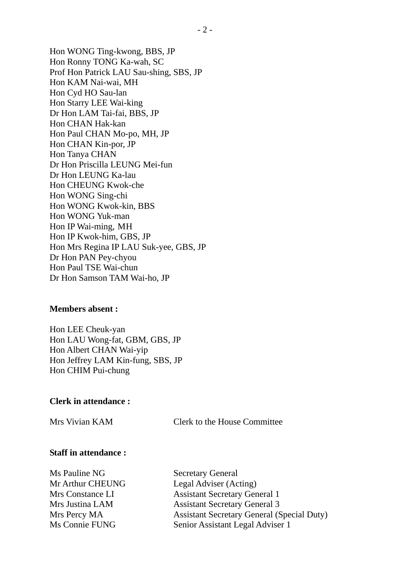Hon WONG Ting-kwong, BBS, JP Hon Ronny TONG Ka-wah, SC Prof Hon Patrick LAU Sau-shing, SBS, JP Hon KAM Nai-wai, MH Hon Cyd HO Sau-lan Hon Starry LEE Wai-king Dr Hon LAM Tai-fai, BBS, JP Hon CHAN Hak-kan Hon Paul CHAN Mo-po, MH, JP Hon CHAN Kin-por, JP Hon Tanya CHAN Dr Hon Priscilla LEUNG Mei-fun Dr Hon LEUNG Ka-lau Hon CHEUNG Kwok-che Hon WONG Sing-chi Hon WONG Kwok-kin, BBS Hon WONG Yuk-man Hon IP Wai-ming, MH Hon IP Kwok-him, GBS, JP Hon Mrs Regina IP LAU Suk-yee, GBS, JP Dr Hon PAN Pey-chyou Hon Paul TSE Wai-chun Dr Hon Samson TAM Wai-ho, JP

### **Members absent :**

Hon LEE Cheuk-yan Hon LAU Wong-fat, GBM, GBS, JP Hon Albert CHAN Wai-yip Hon Jeffrey LAM Kin-fung, SBS, JP Hon CHIM Pui-chung

#### **Clerk in attendance :**

Mrs Vivian KAM Clerk to the House Committee

### **Staff in attendance :**

Ms Pauline NG Secretary General

Mr Arthur CHEUNG Legal Adviser (Acting) Mrs Constance LI Assistant Secretary General 1 Mrs Justina LAM Assistant Secretary General 3 Mrs Percy MA Assistant Secretary General (Special Duty) Ms Connie FUNG Senior Assistant Legal Adviser 1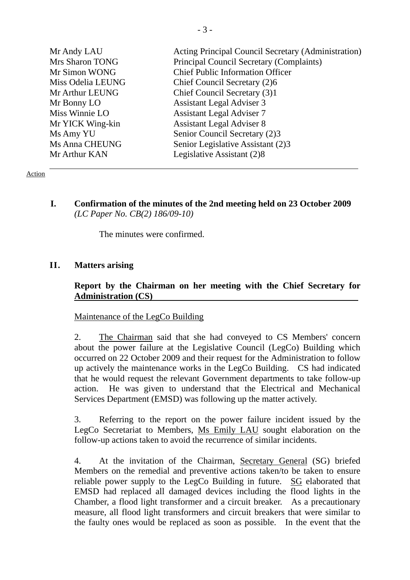| Acting Principal Council Secretary (Administration) |
|-----------------------------------------------------|
| Principal Council Secretary (Complaints)            |
| <b>Chief Public Information Officer</b>             |
| Chief Council Secretary (2)6                        |
| Chief Council Secretary (3)1                        |
| <b>Assistant Legal Adviser 3</b>                    |
| <b>Assistant Legal Adviser 7</b>                    |
| <b>Assistant Legal Adviser 8</b>                    |
| Senior Council Secretary (2)3                       |
| Senior Legislative Assistant (2)3                   |
| Legislative Assistant (2)8                          |
|                                                     |

### Action

**I. Confirmation of the minutes of the 2nd meeting held on 23 October 2009**  *(LC Paper No. CB(2) 186/09-10)* 

The minutes were confirmed.

# **II. Matters arising**

# **Report by the Chairman on her meeting with the Chief Secretary for Administration (CS)**

### Maintenance of the LegCo Building

2. The Chairman said that she had conveyed to CS Members' concern about the power failure at the Legislative Council (LegCo) Building which occurred on 22 October 2009 and their request for the Administration to follow up actively the maintenance works in the LegCo Building. CS had indicated that he would request the relevant Government departments to take follow-up action. He was given to understand that the Electrical and Mechanical Services Department (EMSD) was following up the matter actively.

3. Referring to the report on the power failure incident issued by the LegCo Secretariat to Members, Ms Emily LAU sought elaboration on the follow-up actions taken to avoid the recurrence of similar incidents.

4. At the invitation of the Chairman, Secretary General (SG) briefed Members on the remedial and preventive actions taken/to be taken to ensure reliable power supply to the LegCo Building in future. SG elaborated that EMSD had replaced all damaged devices including the flood lights in the Chamber, a flood light transformer and a circuit breaker. As a precautionary measure, all flood light transformers and circuit breakers that were similar to the faulty ones would be replaced as soon as possible. In the event that the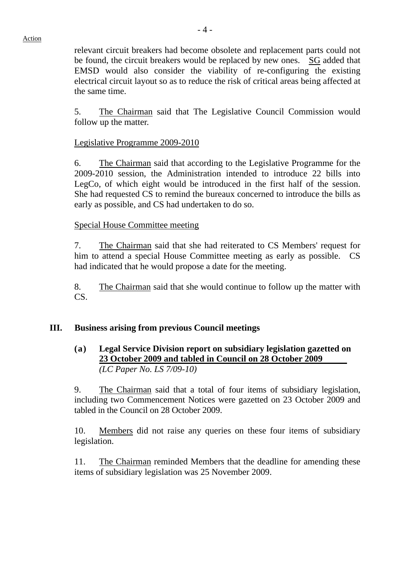relevant circuit breakers had become obsolete and replacement parts could not be found, the circuit breakers would be replaced by new ones. SG added that EMSD would also consider the viability of re-configuring the existing electrical circuit layout so as to reduce the risk of critical areas being affected at the same time.

5. The Chairman said that The Legislative Council Commission would follow up the matter.

### Legislative Programme 2009-2010

6. The Chairman said that according to the Legislative Programme for the 2009-2010 session, the Administration intended to introduce 22 bills into LegCo, of which eight would be introduced in the first half of the session. She had requested CS to remind the bureaux concerned to introduce the bills as early as possible, and CS had undertaken to do so.

### Special House Committee meeting

7. The Chairman said that she had reiterated to CS Members' request for him to attend a special House Committee meeting as early as possible. CS had indicated that he would propose a date for the meeting.

8. The Chairman said that she would continue to follow up the matter with CS.

# **III. Business arising from previous Council meetings**

## **(a) Legal Service Division report on subsidiary legislation gazetted on 23 October 2009 and tabled in Council on 28 October 2009**  *(LC Paper No. LS 7/09-10)*

9. The Chairman said that a total of four items of subsidiary legislation, including two Commencement Notices were gazetted on 23 October 2009 and tabled in the Council on 28 October 2009.

10. Members did not raise any queries on these four items of subsidiary legislation.

11. The Chairman reminded Members that the deadline for amending these items of subsidiary legislation was 25 November 2009.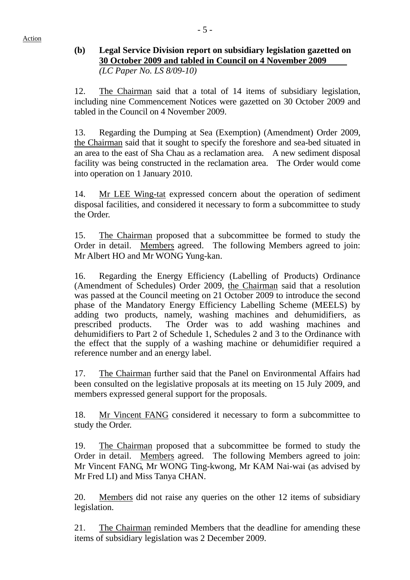# **(b) Legal Service Division report on subsidiary legislation gazetted on 30 October 2009 and tabled in Council on 4 November 2009** *(LC Paper No. LS 8/09-10)*

12. The Chairman said that a total of 14 items of subsidiary legislation, including nine Commencement Notices were gazetted on 30 October 2009 and tabled in the Council on 4 November 2009.

13. Regarding the Dumping at Sea (Exemption) (Amendment) Order 2009, the Chairman said that it sought to specify the foreshore and sea-bed situated in an area to the east of Sha Chau as a reclamation area. A new sediment disposal facility was being constructed in the reclamation area. The Order would come into operation on 1 January 2010.

14. Mr LEE Wing-tat expressed concern about the operation of sediment disposal facilities, and considered it necessary to form a subcommittee to study the Order.

15. The Chairman proposed that a subcommittee be formed to study the Order in detail. Members agreed. The following Members agreed to join: Mr Albert HO and Mr WONG Yung-kan.

16. Regarding the Energy Efficiency (Labelling of Products) Ordinance (Amendment of Schedules) Order 2009, the Chairman said that a resolution was passed at the Council meeting on 21 October 2009 to introduce the second phase of the Mandatory Energy Efficiency Labelling Scheme (MEELS) by adding two products, namely, washing machines and dehumidifiers, as prescribed products. The Order was to add washing machines and dehumidifiers to Part 2 of Schedule 1, Schedules 2 and 3 to the Ordinance with the effect that the supply of a washing machine or dehumidifier required a reference number and an energy label.

17. The Chairman further said that the Panel on Environmental Affairs had been consulted on the legislative proposals at its meeting on 15 July 2009, and members expressed general support for the proposals.

18. Mr Vincent FANG considered it necessary to form a subcommittee to study the Order.

19. The Chairman proposed that a subcommittee be formed to study the Order in detail. Members agreed. The following Members agreed to join: Mr Vincent FANG, Mr WONG Ting-kwong, Mr KAM Nai-wai (as advised by Mr Fred LI) and Miss Tanya CHAN.

20. Members did not raise any queries on the other 12 items of subsidiary legislation.

21. The Chairman reminded Members that the deadline for amending these items of subsidiary legislation was 2 December 2009.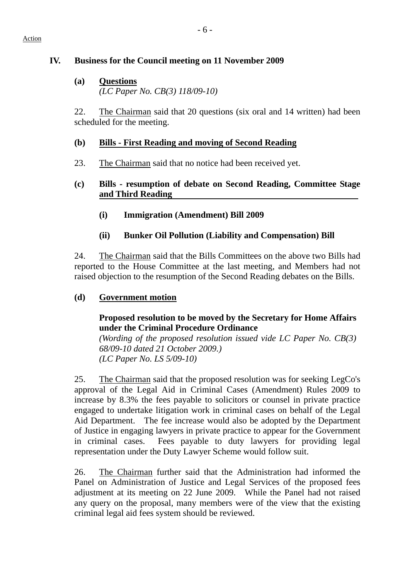#### Action

# **IV. Business for the Council meeting on 11 November 2009**

**(a) Questions** *(LC Paper No. CB(3) 118/09-10)* 

22. The Chairman said that 20 questions (six oral and 14 written) had been scheduled for the meeting.

# **(b) Bills - First Reading and moving of Second Reading**

23. The Chairman said that no notice had been received yet.

# **(c) Bills - resumption of debate on Second Reading, Committee Stage and Third Reading**

- **(i) Immigration (Amendment) Bill 2009**
- **(ii) Bunker Oil Pollution (Liability and Compensation) Bill**

24. The Chairman said that the Bills Committees on the above two Bills had reported to the House Committee at the last meeting, and Members had not raised objection to the resumption of the Second Reading debates on the Bills.

# **(d) Government motion**

# **Proposed resolution to be moved by the Secretary for Home Affairs under the Criminal Procedure Ordinance**

*(Wording of the proposed resolution issued vide LC Paper No. CB(3) 68/09-10 dated 21 October 2009.) (LC Paper No. LS 5/09-10)* 

25. The Chairman said that the proposed resolution was for seeking LegCo's approval of the Legal Aid in Criminal Cases (Amendment) Rules 2009 to increase by 8.3% the fees payable to solicitors or counsel in private practice engaged to undertake litigation work in criminal cases on behalf of the Legal Aid Department. The fee increase would also be adopted by the Department of Justice in engaging lawyers in private practice to appear for the Government in criminal cases. Fees payable to duty lawyers for providing legal representation under the Duty Lawyer Scheme would follow suit.

26. The Chairman further said that the Administration had informed the Panel on Administration of Justice and Legal Services of the proposed fees adjustment at its meeting on 22 June 2009. While the Panel had not raised any query on the proposal, many members were of the view that the existing criminal legal aid fees system should be reviewed.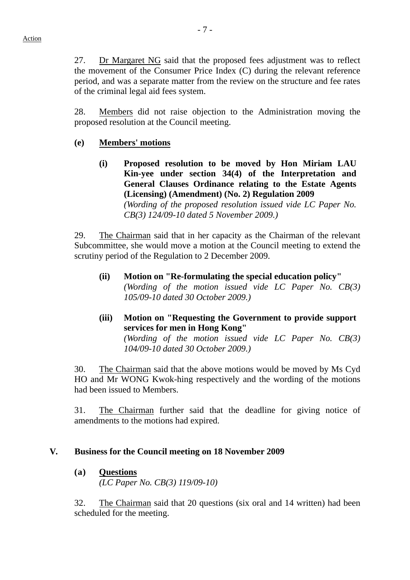27. Dr Margaret NG said that the proposed fees adjustment was to reflect the movement of the Consumer Price Index (C) during the relevant reference period, and was a separate matter from the review on the structure and fee rates of the criminal legal aid fees system.

28. Members did not raise objection to the Administration moving the proposed resolution at the Council meeting.

# **(e) Members' motions**

**(i) Proposed resolution to be moved by Hon Miriam LAU Kin-yee under section 34(4) of the Interpretation and General Clauses Ordinance relating to the Estate Agents (Licensing) (Amendment) (No. 2) Regulation 2009**  *(Wording of the proposed resolution issued vide LC Paper No. CB(3) 124/09-10 dated 5 November 2009.)* 

29. The Chairman said that in her capacity as the Chairman of the relevant Subcommittee, she would move a motion at the Council meeting to extend the scrutiny period of the Regulation to 2 December 2009.

- **(ii) Motion on "Re-formulating the special education policy"**  *(Wording of the motion issued vide LC Paper No. CB(3) 105/09-10 dated 30 October 2009.)*
- **(iii) Motion on "Requesting the Government to provide support services for men in Hong Kong"**

*(Wording of the motion issued vide LC Paper No. CB(3) 104/09-10 dated 30 October 2009.)* 

30. The Chairman said that the above motions would be moved by Ms Cyd HO and Mr WONG Kwok-hing respectively and the wording of the motions had been issued to Members.

31. The Chairman further said that the deadline for giving notice of amendments to the motions had expired.

### **V. Business for the Council meeting on 18 November 2009**

**(a) Questions**

*(LC Paper No. CB(3) 119/09-10)* 

32. The Chairman said that 20 questions (six oral and 14 written) had been scheduled for the meeting.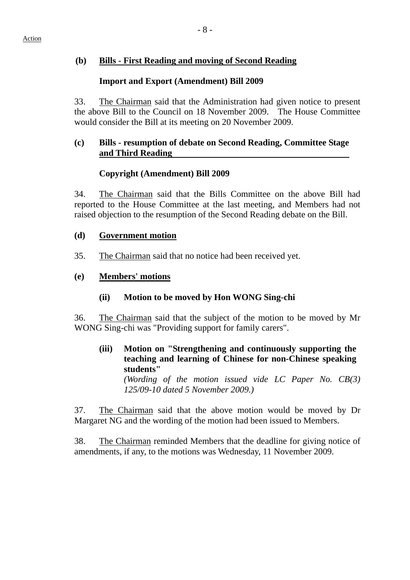## **(b) Bills - First Reading and moving of Second Reading**

## **Import and Export (Amendment) Bill 2009**

33. The Chairman said that the Administration had given notice to present the above Bill to the Council on 18 November 2009. The House Committee would consider the Bill at its meeting on 20 November 2009.

## **(c) Bills - resumption of debate on Second Reading, Committee Stage and Third Reading**

# **Copyright (Amendment) Bill 2009**

34. The Chairman said that the Bills Committee on the above Bill had reported to the House Committee at the last meeting, and Members had not raised objection to the resumption of the Second Reading debate on the Bill.

### **(d) Government motion**

- 35. The Chairman said that no notice had been received yet.
- **(e) Members' motions**

### **(ii) Motion to be moved by Hon WONG Sing-chi**

36. The Chairman said that the subject of the motion to be moved by Mr WONG Sing-chi was "Providing support for family carers".

**(iii) Motion on "Strengthening and continuously supporting the teaching and learning of Chinese for non-Chinese speaking students"** 

*(Wording of the motion issued vide LC Paper No. CB(3) 125/09-10 dated 5 November 2009.)* 

37. The Chairman said that the above motion would be moved by Dr Margaret NG and the wording of the motion had been issued to Members.

38. The Chairman reminded Members that the deadline for giving notice of amendments, if any, to the motions was Wednesday, 11 November 2009.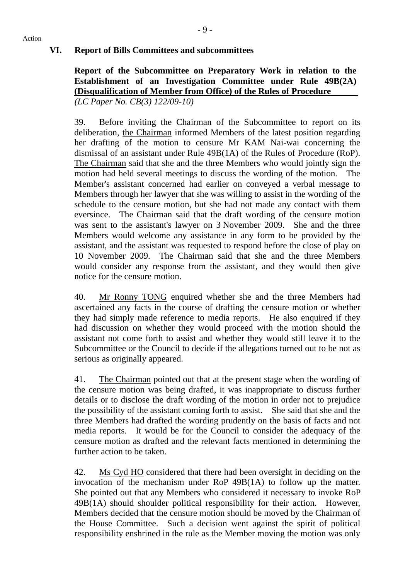**Report of the Subcommittee on Preparatory Work in relation to the Establishment of an Investigation Committee under Rule 49B(2A) (Disqualification of Member from Office) of the Rules of Procedure**  *(LC Paper No. CB(3) 122/09-10)* 

39. Before inviting the Chairman of the Subcommittee to report on its deliberation, the Chairman informed Members of the latest position regarding her drafting of the motion to censure Mr KAM Nai-wai concerning the dismissal of an assistant under Rule 49B(1A) of the Rules of Procedure (RoP). The Chairman said that she and the three Members who would jointly sign the motion had held several meetings to discuss the wording of the motion. The Member's assistant concerned had earlier on conveyed a verbal message to Members through her lawyer that she was willing to assist in the wording of the schedule to the censure motion, but she had not made any contact with them eversince. The Chairman said that the draft wording of the censure motion was sent to the assistant's lawyer on 3 November 2009. She and the three Members would welcome any assistance in any form to be provided by the assistant, and the assistant was requested to respond before the close of play on 10 November 2009. The Chairman said that she and the three Members would consider any response from the assistant, and they would then give notice for the censure motion.

40. Mr Ronny TONG enquired whether she and the three Members had ascertained any facts in the course of drafting the censure motion or whether they had simply made reference to media reports. He also enquired if they had discussion on whether they would proceed with the motion should the assistant not come forth to assist and whether they would still leave it to the Subcommittee or the Council to decide if the allegations turned out to be not as serious as originally appeared.

41. The Chairman pointed out that at the present stage when the wording of the censure motion was being drafted, it was inappropriate to discuss further details or to disclose the draft wording of the motion in order not to prejudice the possibility of the assistant coming forth to assist. She said that she and the three Members had drafted the wording prudently on the basis of facts and not media reports. It would be for the Council to consider the adequacy of the censure motion as drafted and the relevant facts mentioned in determining the further action to be taken.

42. Ms Cyd HO considered that there had been oversight in deciding on the invocation of the mechanism under RoP 49B(1A) to follow up the matter. She pointed out that any Members who considered it necessary to invoke RoP 49B(1A) should shoulder political responsibility for their action. However, Members decided that the censure motion should be moved by the Chairman of the House Committee. Such a decision went against the spirit of political responsibility enshrined in the rule as the Member moving the motion was only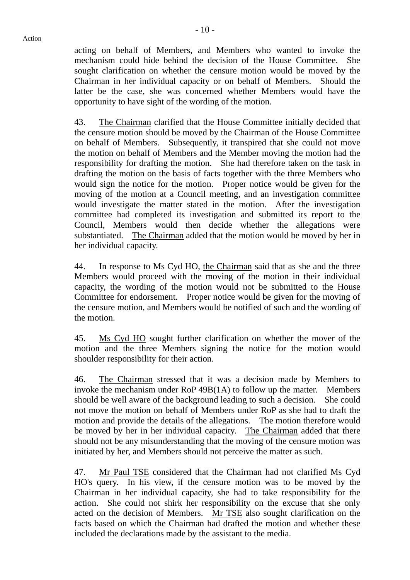acting on behalf of Members, and Members who wanted to invoke the mechanism could hide behind the decision of the House Committee. She sought clarification on whether the censure motion would be moved by the Chairman in her individual capacity or on behalf of Members. Should the latter be the case, she was concerned whether Members would have the opportunity to have sight of the wording of the motion.

43. The Chairman clarified that the House Committee initially decided that the censure motion should be moved by the Chairman of the House Committee on behalf of Members. Subsequently, it transpired that she could not move the motion on behalf of Members and the Member moving the motion had the responsibility for drafting the motion. She had therefore taken on the task in drafting the motion on the basis of facts together with the three Members who would sign the notice for the motion. Proper notice would be given for the moving of the motion at a Council meeting, and an investigation committee would investigate the matter stated in the motion. After the investigation committee had completed its investigation and submitted its report to the Council, Members would then decide whether the allegations were substantiated. The Chairman added that the motion would be moved by her in her individual capacity.

44. In response to Ms Cyd HO, the Chairman said that as she and the three Members would proceed with the moving of the motion in their individual capacity, the wording of the motion would not be submitted to the House Committee for endorsement. Proper notice would be given for the moving of the censure motion, and Members would be notified of such and the wording of the motion.

45. Ms Cyd HO sought further clarification on whether the mover of the motion and the three Members signing the notice for the motion would shoulder responsibility for their action.

46. The Chairman stressed that it was a decision made by Members to invoke the mechanism under RoP 49B(1A) to follow up the matter. Members should be well aware of the background leading to such a decision. She could not move the motion on behalf of Members under RoP as she had to draft the motion and provide the details of the allegations. The motion therefore would be moved by her in her individual capacity. The Chairman added that there should not be any misunderstanding that the moving of the censure motion was initiated by her, and Members should not perceive the matter as such.

47. Mr Paul TSE considered that the Chairman had not clarified Ms Cyd HO's query. In his view, if the censure motion was to be moved by the Chairman in her individual capacity, she had to take responsibility for the action. She could not shirk her responsibility on the excuse that she only acted on the decision of Members. Mr TSE also sought clarification on the facts based on which the Chairman had drafted the motion and whether these included the declarations made by the assistant to the media.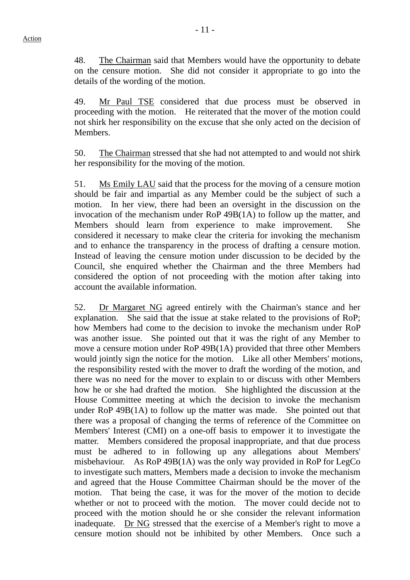48. The Chairman said that Members would have the opportunity to debate on the censure motion. She did not consider it appropriate to go into the details of the wording of the motion.

49. Mr Paul TSE considered that due process must be observed in proceeding with the motion. He reiterated that the mover of the motion could not shirk her responsibility on the excuse that she only acted on the decision of Members.

50. The Chairman stressed that she had not attempted to and would not shirk her responsibility for the moving of the motion.

51. Ms Emily LAU said that the process for the moving of a censure motion should be fair and impartial as any Member could be the subject of such a motion. In her view, there had been an oversight in the discussion on the invocation of the mechanism under RoP 49B(1A) to follow up the matter, and Members should learn from experience to make improvement. She considered it necessary to make clear the criteria for invoking the mechanism and to enhance the transparency in the process of drafting a censure motion. Instead of leaving the censure motion under discussion to be decided by the Council, she enquired whether the Chairman and the three Members had considered the option of not proceeding with the motion after taking into account the available information.

52. Dr Margaret NG agreed entirely with the Chairman's stance and her explanation. She said that the issue at stake related to the provisions of RoP; how Members had come to the decision to invoke the mechanism under RoP was another issue. She pointed out that it was the right of any Member to move a censure motion under RoP 49B(1A) provided that three other Members would jointly sign the notice for the motion. Like all other Members' motions, the responsibility rested with the mover to draft the wording of the motion, and there was no need for the mover to explain to or discuss with other Members how he or she had drafted the motion. She highlighted the discussion at the House Committee meeting at which the decision to invoke the mechanism under RoP 49B(1A) to follow up the matter was made. She pointed out that there was a proposal of changing the terms of reference of the Committee on Members' Interest (CMI) on a one-off basis to empower it to investigate the matter. Members considered the proposal inappropriate, and that due process must be adhered to in following up any allegations about Members' misbehaviour. As RoP 49B(1A) was the only way provided in RoP for LegCo to investigate such matters, Members made a decision to invoke the mechanism and agreed that the House Committee Chairman should be the mover of the motion. That being the case, it was for the mover of the motion to decide whether or not to proceed with the motion. The mover could decide not to proceed with the motion should he or she consider the relevant information inadequate. Dr NG stressed that the exercise of a Member's right to move a censure motion should not be inhibited by other Members. Once such a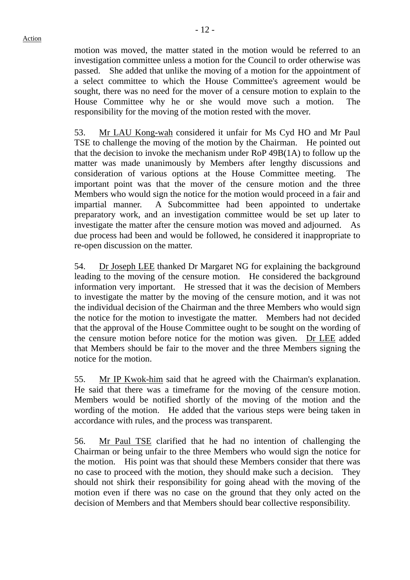motion was moved, the matter stated in the motion would be referred to an investigation committee unless a motion for the Council to order otherwise was passed. She added that unlike the moving of a motion for the appointment of a select committee to which the House Committee's agreement would be sought, there was no need for the mover of a censure motion to explain to the House Committee why he or she would move such a motion. The responsibility for the moving of the motion rested with the mover.

53. Mr LAU Kong-wah considered it unfair for Ms Cyd HO and Mr Paul TSE to challenge the moving of the motion by the Chairman. He pointed out that the decision to invoke the mechanism under RoP 49B(1A) to follow up the matter was made unanimously by Members after lengthy discussions and consideration of various options at the House Committee meeting. The important point was that the mover of the censure motion and the three Members who would sign the notice for the motion would proceed in a fair and impartial manner. A Subcommittee had been appointed to undertake preparatory work, and an investigation committee would be set up later to investigate the matter after the censure motion was moved and adjourned. As due process had been and would be followed, he considered it inappropriate to re-open discussion on the matter.

54. Dr Joseph LEE thanked Dr Margaret NG for explaining the background leading to the moving of the censure motion. He considered the background information very important. He stressed that it was the decision of Members to investigate the matter by the moving of the censure motion, and it was not the individual decision of the Chairman and the three Members who would sign the notice for the motion to investigate the matter. Members had not decided that the approval of the House Committee ought to be sought on the wording of the censure motion before notice for the motion was given. Dr LEE added that Members should be fair to the mover and the three Members signing the notice for the motion.

55. Mr IP Kwok-him said that he agreed with the Chairman's explanation. He said that there was a timeframe for the moving of the censure motion. Members would be notified shortly of the moving of the motion and the wording of the motion. He added that the various steps were being taken in accordance with rules, and the process was transparent.

56. Mr Paul TSE clarified that he had no intention of challenging the Chairman or being unfair to the three Members who would sign the notice for the motion. His point was that should these Members consider that there was no case to proceed with the motion, they should make such a decision. They should not shirk their responsibility for going ahead with the moving of the motion even if there was no case on the ground that they only acted on the decision of Members and that Members should bear collective responsibility.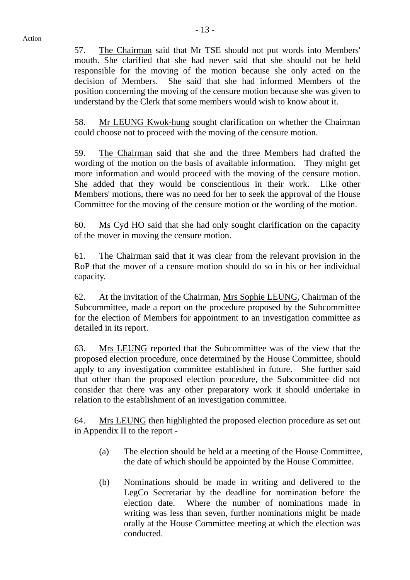57. The Chairman said that Mr TSE should not put words into Members' mouth. She clarified that she had never said that she should not be held responsible for the moving of the motion because she only acted on the decision of Members. She said that she had informed Members of the position concerning the moving of the censure motion because she was given to understand by the Clerk that some members would wish to know about it.

58. Mr LEUNG Kwok-hung sought clarification on whether the Chairman could choose not to proceed with the moving of the censure motion.

59. The Chairman said that she and the three Members had drafted the wording of the motion on the basis of available information. They might get more information and would proceed with the moving of the censure motion. She added that they would be conscientious in their work. Like other Members' motions, there was no need for her to seek the approval of the House Committee for the moving of the censure motion or the wording of the motion.

60. Ms Cyd HO said that she had only sought clarification on the capacity of the mover in moving the censure motion.

61. The Chairman said that it was clear from the relevant provision in the RoP that the mover of a censure motion should do so in his or her individual capacity.

62. At the invitation of the Chairman, Mrs Sophie LEUNG, Chairman of the Subcommittee, made a report on the procedure proposed by the Subcommittee for the election of Members for appointment to an investigation committee as detailed in its report.

63. Mrs LEUNG reported that the Subcommittee was of the view that the proposed election procedure, once determined by the House Committee, should apply to any investigation committee established in future. She further said that other than the proposed election procedure, the Subcommittee did not consider that there was any other preparatory work it should undertake in relation to the establishment of an investigation committee.

64. Mrs LEUNG then highlighted the proposed election procedure as set out in Appendix II to the report -

- (a) The election should be held at a meeting of the House Committee, the date of which should be appointed by the House Committee.
- (b) Nominations should be made in writing and delivered to the LegCo Secretariat by the deadline for nomination before the election date. Where the number of nominations made in writing was less than seven, further nominations might be made orally at the House Committee meeting at which the election was conducted.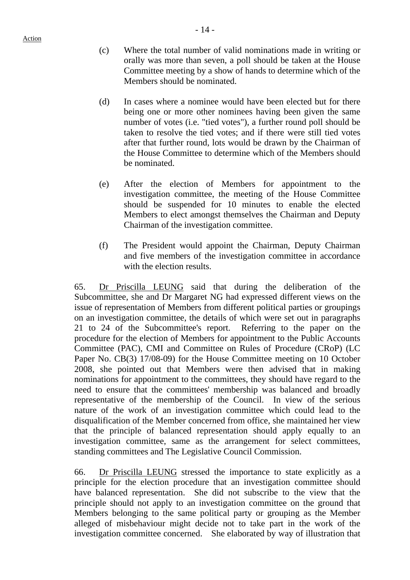- (c) Where the total number of valid nominations made in writing or orally was more than seven, a poll should be taken at the House Committee meeting by a show of hands to determine which of the Members should be nominated.
- (d) In cases where a nominee would have been elected but for there being one or more other nominees having been given the same number of votes (i.e. "tied votes"), a further round poll should be taken to resolve the tied votes; and if there were still tied votes after that further round, lots would be drawn by the Chairman of the House Committee to determine which of the Members should be nominated.
- (e) After the election of Members for appointment to the investigation committee, the meeting of the House Committee should be suspended for 10 minutes to enable the elected Members to elect amongst themselves the Chairman and Deputy Chairman of the investigation committee.
- (f) The President would appoint the Chairman, Deputy Chairman and five members of the investigation committee in accordance with the election results.

65. Dr Priscilla LEUNG said that during the deliberation of the Subcommittee, she and Dr Margaret NG had expressed different views on the issue of representation of Members from different political parties or groupings on an investigation committee, the details of which were set out in paragraphs 21 to 24 of the Subcommittee's report. Referring to the paper on the procedure for the election of Members for appointment to the Public Accounts Committee (PAC), CMI and Committee on Rules of Procedure (CRoP) (LC Paper No. CB(3) 17/08-09) for the House Committee meeting on 10 October 2008, she pointed out that Members were then advised that in making nominations for appointment to the committees, they should have regard to the need to ensure that the committees' membership was balanced and broadly representative of the membership of the Council. In view of the serious nature of the work of an investigation committee which could lead to the disqualification of the Member concerned from office, she maintained her view that the principle of balanced representation should apply equally to an investigation committee, same as the arrangement for select committees, standing committees and The Legislative Council Commission.

66. Dr Priscilla LEUNG stressed the importance to state explicitly as a principle for the election procedure that an investigation committee should have balanced representation. She did not subscribe to the view that the principle should not apply to an investigation committee on the ground that Members belonging to the same political party or grouping as the Member alleged of misbehaviour might decide not to take part in the work of the investigation committee concerned. She elaborated by way of illustration that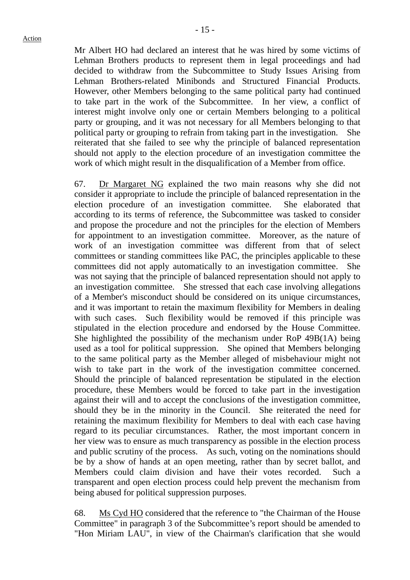Mr Albert HO had declared an interest that he was hired by some victims of Lehman Brothers products to represent them in legal proceedings and had decided to withdraw from the Subcommittee to Study Issues Arising from Lehman Brothers-related Minibonds and Structured Financial Products. However, other Members belonging to the same political party had continued to take part in the work of the Subcommittee. In her view, a conflict of interest might involve only one or certain Members belonging to a political party or grouping, and it was not necessary for all Members belonging to that political party or grouping to refrain from taking part in the investigation. She reiterated that she failed to see why the principle of balanced representation should not apply to the election procedure of an investigation committee the work of which might result in the disqualification of a Member from office.

67. Dr Margaret NG explained the two main reasons why she did not consider it appropriate to include the principle of balanced representation in the election procedure of an investigation committee. She elaborated that according to its terms of reference, the Subcommittee was tasked to consider and propose the procedure and not the principles for the election of Members for appointment to an investigation committee. Moreover, as the nature of work of an investigation committee was different from that of select committees or standing committees like PAC, the principles applicable to these committees did not apply automatically to an investigation committee. She was not saying that the principle of balanced representation should not apply to an investigation committee. She stressed that each case involving allegations of a Member's misconduct should be considered on its unique circumstances, and it was important to retain the maximum flexibility for Members in dealing with such cases. Such flexibility would be removed if this principle was stipulated in the election procedure and endorsed by the House Committee. She highlighted the possibility of the mechanism under RoP 49B(1A) being used as a tool for political suppression. She opined that Members belonging to the same political party as the Member alleged of misbehaviour might not wish to take part in the work of the investigation committee concerned. Should the principle of balanced representation be stipulated in the election procedure, these Members would be forced to take part in the investigation against their will and to accept the conclusions of the investigation committee, should they be in the minority in the Council. She reiterated the need for retaining the maximum flexibility for Members to deal with each case having regard to its peculiar circumstances. Rather, the most important concern in her view was to ensure as much transparency as possible in the election process and public scrutiny of the process. As such, voting on the nominations should be by a show of hands at an open meeting, rather than by secret ballot, and Members could claim division and have their votes recorded. Such a transparent and open election process could help prevent the mechanism from being abused for political suppression purposes.

68. Ms Cyd HO considered that the reference to "the Chairman of the House Committee" in paragraph 3 of the Subcommittee's report should be amended to "Hon Miriam LAU", in view of the Chairman's clarification that she would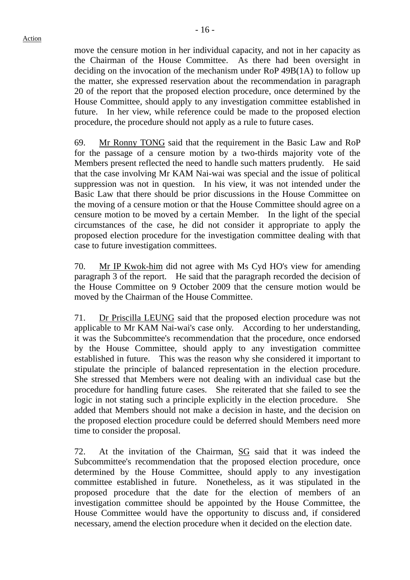move the censure motion in her individual capacity, and not in her capacity as the Chairman of the House Committee. As there had been oversight in deciding on the invocation of the mechanism under RoP 49B(1A) to follow up the matter, she expressed reservation about the recommendation in paragraph 20 of the report that the proposed election procedure, once determined by the House Committee, should apply to any investigation committee established in future. In her view, while reference could be made to the proposed election procedure, the procedure should not apply as a rule to future cases.

69. Mr Ronny TONG said that the requirement in the Basic Law and RoP for the passage of a censure motion by a two-thirds majority vote of the Members present reflected the need to handle such matters prudently. He said that the case involving Mr KAM Nai-wai was special and the issue of political suppression was not in question. In his view, it was not intended under the Basic Law that there should be prior discussions in the House Committee on the moving of a censure motion or that the House Committee should agree on a censure motion to be moved by a certain Member. In the light of the special circumstances of the case, he did not consider it appropriate to apply the proposed election procedure for the investigation committee dealing with that case to future investigation committees.

70. Mr IP Kwok-him did not agree with Ms Cyd HO's view for amending paragraph 3 of the report. He said that the paragraph recorded the decision of the House Committee on 9 October 2009 that the censure motion would be moved by the Chairman of the House Committee.

71. Dr Priscilla LEUNG said that the proposed election procedure was not applicable to Mr KAM Nai-wai's case only. According to her understanding, it was the Subcommittee's recommendation that the procedure, once endorsed by the House Committee, should apply to any investigation committee established in future. This was the reason why she considered it important to stipulate the principle of balanced representation in the election procedure. She stressed that Members were not dealing with an individual case but the procedure for handling future cases. She reiterated that she failed to see the logic in not stating such a principle explicitly in the election procedure. She added that Members should not make a decision in haste, and the decision on the proposed election procedure could be deferred should Members need more time to consider the proposal.

72. At the invitation of the Chairman, SG said that it was indeed the Subcommittee's recommendation that the proposed election procedure, once determined by the House Committee, should apply to any investigation committee established in future. Nonetheless, as it was stipulated in the proposed procedure that the date for the election of members of an investigation committee should be appointed by the House Committee, the House Committee would have the opportunity to discuss and, if considered necessary, amend the election procedure when it decided on the election date.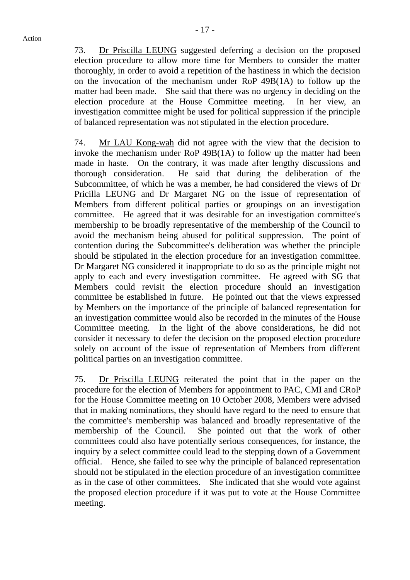73. Dr Priscilla LEUNG suggested deferring a decision on the proposed election procedure to allow more time for Members to consider the matter thoroughly, in order to avoid a repetition of the hastiness in which the decision on the invocation of the mechanism under RoP 49B(1A) to follow up the matter had been made. She said that there was no urgency in deciding on the election procedure at the House Committee meeting. In her view, an investigation committee might be used for political suppression if the principle of balanced representation was not stipulated in the election procedure.

74. Mr LAU Kong-wah did not agree with the view that the decision to invoke the mechanism under RoP 49B(1A) to follow up the matter had been made in haste. On the contrary, it was made after lengthy discussions and thorough consideration. He said that during the deliberation of the Subcommittee, of which he was a member, he had considered the views of Dr Pricilla LEUNG and Dr Margaret NG on the issue of representation of Members from different political parties or groupings on an investigation committee. He agreed that it was desirable for an investigation committee's membership to be broadly representative of the membership of the Council to avoid the mechanism being abused for political suppression. The point of contention during the Subcommittee's deliberation was whether the principle should be stipulated in the election procedure for an investigation committee. Dr Margaret NG considered it inappropriate to do so as the principle might not apply to each and every investigation committee. He agreed with SG that Members could revisit the election procedure should an investigation committee be established in future. He pointed out that the views expressed by Members on the importance of the principle of balanced representation for an investigation committee would also be recorded in the minutes of the House Committee meeting. In the light of the above considerations, he did not consider it necessary to defer the decision on the proposed election procedure solely on account of the issue of representation of Members from different political parties on an investigation committee.

75. Dr Priscilla LEUNG reiterated the point that in the paper on the procedure for the election of Members for appointment to PAC, CMI and CRoP for the House Committee meeting on 10 October 2008, Members were advised that in making nominations, they should have regard to the need to ensure that the committee's membership was balanced and broadly representative of the membership of the Council. She pointed out that the work of other committees could also have potentially serious consequences, for instance, the inquiry by a select committee could lead to the stepping down of a Government official. Hence, she failed to see why the principle of balanced representation should not be stipulated in the election procedure of an investigation committee as in the case of other committees. She indicated that she would vote against the proposed election procedure if it was put to vote at the House Committee meeting.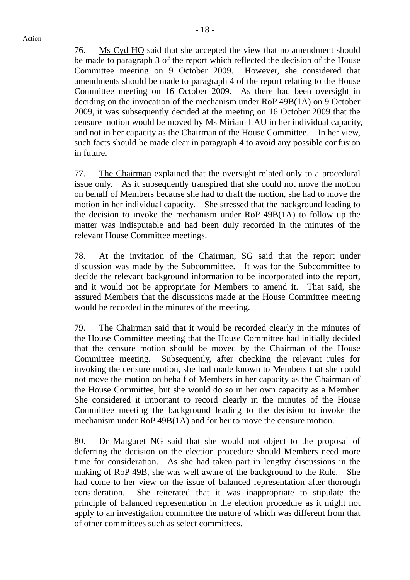76. Ms Cyd HO said that she accepted the view that no amendment should be made to paragraph 3 of the report which reflected the decision of the House Committee meeting on 9 October 2009. However, she considered that amendments should be made to paragraph 4 of the report relating to the House Committee meeting on 16 October 2009. As there had been oversight in deciding on the invocation of the mechanism under RoP 49B(1A) on 9 October 2009, it was subsequently decided at the meeting on 16 October 2009 that the censure motion would be moved by Ms Miriam LAU in her individual capacity, and not in her capacity as the Chairman of the House Committee. In her view, such facts should be made clear in paragraph 4 to avoid any possible confusion in future.

77. The Chairman explained that the oversight related only to a procedural issue only. As it subsequently transpired that she could not move the motion on behalf of Members because she had to draft the motion, she had to move the motion in her individual capacity. She stressed that the background leading to the decision to invoke the mechanism under RoP 49B(1A) to follow up the matter was indisputable and had been duly recorded in the minutes of the relevant House Committee meetings.

78. At the invitation of the Chairman, SG said that the report under discussion was made by the Subcommittee. It was for the Subcommittee to decide the relevant background information to be incorporated into the report, and it would not be appropriate for Members to amend it. That said, she assured Members that the discussions made at the House Committee meeting would be recorded in the minutes of the meeting.

79. The Chairman said that it would be recorded clearly in the minutes of the House Committee meeting that the House Committee had initially decided that the censure motion should be moved by the Chairman of the House Committee meeting. Subsequently, after checking the relevant rules for invoking the censure motion, she had made known to Members that she could not move the motion on behalf of Members in her capacity as the Chairman of the House Committee, but she would do so in her own capacity as a Member. She considered it important to record clearly in the minutes of the House Committee meeting the background leading to the decision to invoke the mechanism under RoP 49B(1A) and for her to move the censure motion.

80. Dr Margaret NG said that she would not object to the proposal of deferring the decision on the election procedure should Members need more time for consideration. As she had taken part in lengthy discussions in the making of RoP 49B, she was well aware of the background to the Rule. She had come to her view on the issue of balanced representation after thorough consideration. She reiterated that it was inappropriate to stipulate the principle of balanced representation in the election procedure as it might not apply to an investigation committee the nature of which was different from that of other committees such as select committees.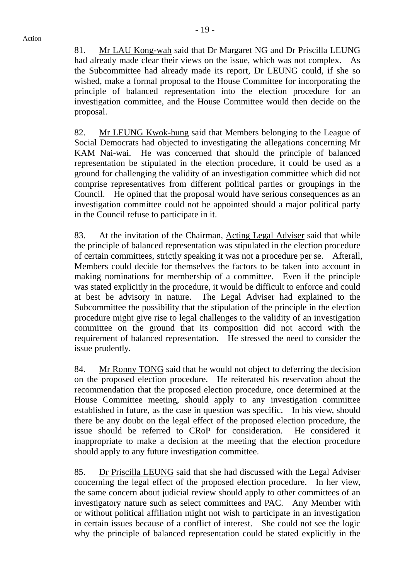81. Mr LAU Kong-wah said that Dr Margaret NG and Dr Priscilla LEUNG had already made clear their views on the issue, which was not complex. As the Subcommittee had already made its report, Dr LEUNG could, if she so wished, make a formal proposal to the House Committee for incorporating the principle of balanced representation into the election procedure for an investigation committee, and the House Committee would then decide on the proposal.

82. Mr LEUNG Kwok-hung said that Members belonging to the League of Social Democrats had objected to investigating the allegations concerning Mr KAM Nai-wai. He was concerned that should the principle of balanced representation be stipulated in the election procedure, it could be used as a ground for challenging the validity of an investigation committee which did not comprise representatives from different political parties or groupings in the Council. He opined that the proposal would have serious consequences as an investigation committee could not be appointed should a major political party in the Council refuse to participate in it.

83. At the invitation of the Chairman, Acting Legal Adviser said that while the principle of balanced representation was stipulated in the election procedure of certain committees, strictly speaking it was not a procedure per se. Afterall, Members could decide for themselves the factors to be taken into account in making nominations for membership of a committee. Even if the principle was stated explicitly in the procedure, it would be difficult to enforce and could at best be advisory in nature. The Legal Adviser had explained to the Subcommittee the possibility that the stipulation of the principle in the election procedure might give rise to legal challenges to the validity of an investigation committee on the ground that its composition did not accord with the requirement of balanced representation. He stressed the need to consider the issue prudently.

84. Mr Ronny TONG said that he would not object to deferring the decision on the proposed election procedure. He reiterated his reservation about the recommendation that the proposed election procedure, once determined at the House Committee meeting, should apply to any investigation committee established in future, as the case in question was specific. In his view, should there be any doubt on the legal effect of the proposed election procedure, the issue should be referred to CRoP for consideration. He considered it inappropriate to make a decision at the meeting that the election procedure should apply to any future investigation committee.

85. Dr Priscilla LEUNG said that she had discussed with the Legal Adviser concerning the legal effect of the proposed election procedure. In her view, the same concern about judicial review should apply to other committees of an investigatory nature such as select committees and PAC. Any Member with or without political affiliation might not wish to participate in an investigation in certain issues because of a conflict of interest. She could not see the logic why the principle of balanced representation could be stated explicitly in the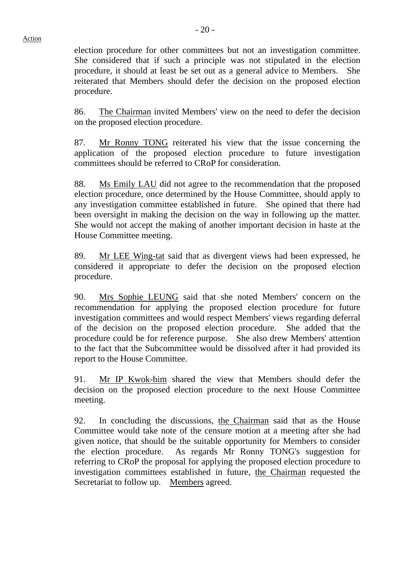election procedure for other committees but not an investigation committee. She considered that if such a principle was not stipulated in the election procedure, it should at least be set out as a general advice to Members. She reiterated that Members should defer the decision on the proposed election procedure.

86. The Chairman invited Members' view on the need to defer the decision on the proposed election procedure.

87. Mr Ronny TONG reiterated his view that the issue concerning the application of the proposed election procedure to future investigation committees should be referred to CRoP for consideration.

88. Ms Emily LAU did not agree to the recommendation that the proposed election procedure, once determined by the House Committee, should apply to any investigation committee established in future. She opined that there had been oversight in making the decision on the way in following up the matter. She would not accept the making of another important decision in haste at the House Committee meeting.

89. Mr LEE Wing-tat said that as divergent views had been expressed, he considered it appropriate to defer the decision on the proposed election procedure.

90. Mrs Sophie LEUNG said that she noted Members' concern on the recommendation for applying the proposed election procedure for future investigation committees and would respect Members' views regarding deferral of the decision on the proposed election procedure. She added that the procedure could be for reference purpose. She also drew Members' attention to the fact that the Subcommittee would be dissolved after it had provided its report to the House Committee.

91. Mr IP Kwok-him shared the view that Members should defer the decision on the proposed election procedure to the next House Committee meeting.

92. In concluding the discussions, the Chairman said that as the House Committee would take note of the censure motion at a meeting after she had given notice, that should be the suitable opportunity for Members to consider the election procedure. As regards Mr Ronny TONG's suggestion for referring to CRoP the proposal for applying the proposed election procedure to investigation committees established in future, the Chairman requested the Secretariat to follow up. Members agreed.